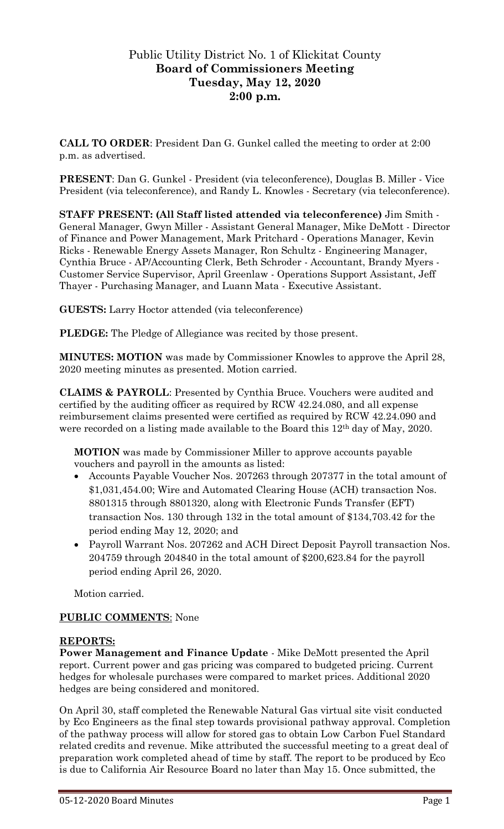# Public Utility District No. 1 of Klickitat County **Board of Commissioners Meeting Tuesday, May 12, 2020 2:00 p.m.**

**CALL TO ORDER**: President Dan G. Gunkel called the meeting to order at 2:00 p.m. as advertised.

**PRESENT**: Dan G. Gunkel - President (via teleconference), Douglas B. Miller - Vice President (via teleconference), and Randy L. Knowles - Secretary (via teleconference).

**STAFF PRESENT: (All Staff listed attended via teleconference)** Jim Smith - General Manager, Gwyn Miller - Assistant General Manager, Mike DeMott - Director of Finance and Power Management, Mark Pritchard - Operations Manager, Kevin Ricks - Renewable Energy Assets Manager, Ron Schultz - Engineering Manager, Cynthia Bruce - AP/Accounting Clerk, Beth Schroder - Accountant, Brandy Myers - Customer Service Supervisor, April Greenlaw - Operations Support Assistant, Jeff Thayer - Purchasing Manager, and Luann Mata - Executive Assistant.

**GUESTS:** Larry Hoctor attended (via teleconference)

**PLEDGE:** The Pledge of Allegiance was recited by those present.

**MINUTES: MOTION** was made by Commissioner Knowles to approve the April 28, 2020 meeting minutes as presented. Motion carried.

**CLAIMS & PAYROLL**: Presented by Cynthia Bruce. Vouchers were audited and certified by the auditing officer as required by RCW 42.24.080, and all expense reimbursement claims presented were certified as required by RCW 42.24.090 and were recorded on a listing made available to the Board this 12th day of May, 2020.

**MOTION** was made by Commissioner Miller to approve accounts payable vouchers and payroll in the amounts as listed:

- Accounts Payable Voucher Nos. 207263 through 207377 in the total amount of \$1,031,454.00; Wire and Automated Clearing House (ACH) transaction Nos. 8801315 through 8801320, along with Electronic Funds Transfer (EFT) transaction Nos. 130 through 132 in the total amount of \$134,703.42 for the period ending May 12, 2020; and
- Payroll Warrant Nos. 207262 and ACH Direct Deposit Payroll transaction Nos. 204759 through 204840 in the total amount of \$200,623.84 for the payroll period ending April 26, 2020.

Motion carried.

### **PUBLIC COMMENTS**: None

### **REPORTS:**

**Power Management and Finance Update** - Mike DeMott presented the April report. Current power and gas pricing was compared to budgeted pricing. Current hedges for wholesale purchases were compared to market prices. Additional 2020 hedges are being considered and monitored.

On April 30, staff completed the Renewable Natural Gas virtual site visit conducted by Eco Engineers as the final step towards provisional pathway approval. Completion of the pathway process will allow for stored gas to obtain Low Carbon Fuel Standard related credits and revenue. Mike attributed the successful meeting to a great deal of preparation work completed ahead of time by staff. The report to be produced by Eco is due to California Air Resource Board no later than May 15. Once submitted, the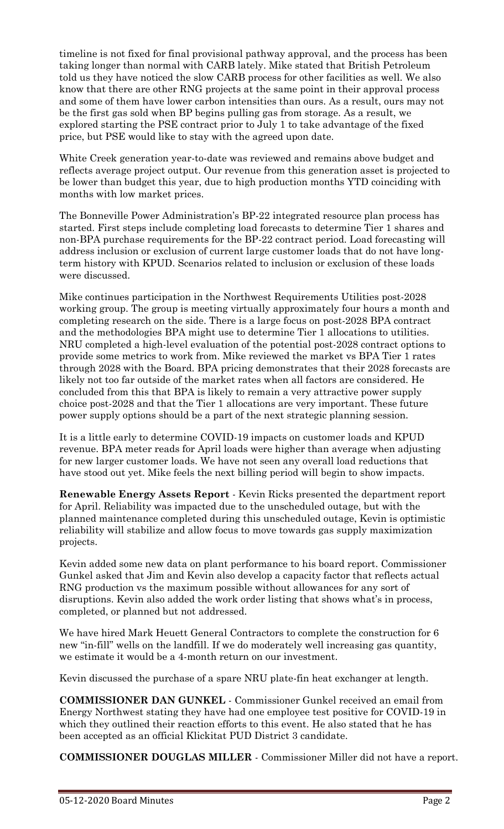timeline is not fixed for final provisional pathway approval, and the process has been taking longer than normal with CARB lately. Mike stated that British Petroleum told us they have noticed the slow CARB process for other facilities as well. We also know that there are other RNG projects at the same point in their approval process and some of them have lower carbon intensities than ours. As a result, ours may not be the first gas sold when BP begins pulling gas from storage. As a result, we explored starting the PSE contract prior to July 1 to take advantage of the fixed price, but PSE would like to stay with the agreed upon date.

White Creek generation year-to-date was reviewed and remains above budget and reflects average project output. Our revenue from this generation asset is projected to be lower than budget this year, due to high production months YTD coinciding with months with low market prices.

The Bonneville Power Administration's BP-22 integrated resource plan process has started. First steps include completing load forecasts to determine Tier 1 shares and non-BPA purchase requirements for the BP-22 contract period. Load forecasting will address inclusion or exclusion of current large customer loads that do not have longterm history with KPUD. Scenarios related to inclusion or exclusion of these loads were discussed.

Mike continues participation in the Northwest Requirements Utilities post-2028 working group. The group is meeting virtually approximately four hours a month and completing research on the side. There is a large focus on post-2028 BPA contract and the methodologies BPA might use to determine Tier 1 allocations to utilities. NRU completed a high-level evaluation of the potential post-2028 contract options to provide some metrics to work from. Mike reviewed the market vs BPA Tier 1 rates through 2028 with the Board. BPA pricing demonstrates that their 2028 forecasts are likely not too far outside of the market rates when all factors are considered. He concluded from this that BPA is likely to remain a very attractive power supply choice post-2028 and that the Tier 1 allocations are very important. These future power supply options should be a part of the next strategic planning session.

It is a little early to determine COVID-19 impacts on customer loads and KPUD revenue. BPA meter reads for April loads were higher than average when adjusting for new larger customer loads. We have not seen any overall load reductions that have stood out yet. Mike feels the next billing period will begin to show impacts.

**Renewable Energy Assets Report** - Kevin Ricks presented the department report for April. Reliability was impacted due to the unscheduled outage, but with the planned maintenance completed during this unscheduled outage, Kevin is optimistic reliability will stabilize and allow focus to move towards gas supply maximization projects.

Kevin added some new data on plant performance to his board report. Commissioner Gunkel asked that Jim and Kevin also develop a capacity factor that reflects actual RNG production vs the maximum possible without allowances for any sort of disruptions. Kevin also added the work order listing that shows what's in process, completed, or planned but not addressed.

We have hired Mark Heuett General Contractors to complete the construction for 6 new "in-fill" wells on the landfill. If we do moderately well increasing gas quantity, we estimate it would be a 4-month return on our investment.

Kevin discussed the purchase of a spare NRU plate-fin heat exchanger at length.

**COMMISSIONER DAN GUNKEL** - Commissioner Gunkel received an email from Energy Northwest stating they have had one employee test positive for COVID-19 in which they outlined their reaction efforts to this event. He also stated that he has been accepted as an official Klickitat PUD District 3 candidate.

**COMMISSIONER DOUGLAS MILLER** - Commissioner Miller did not have a report.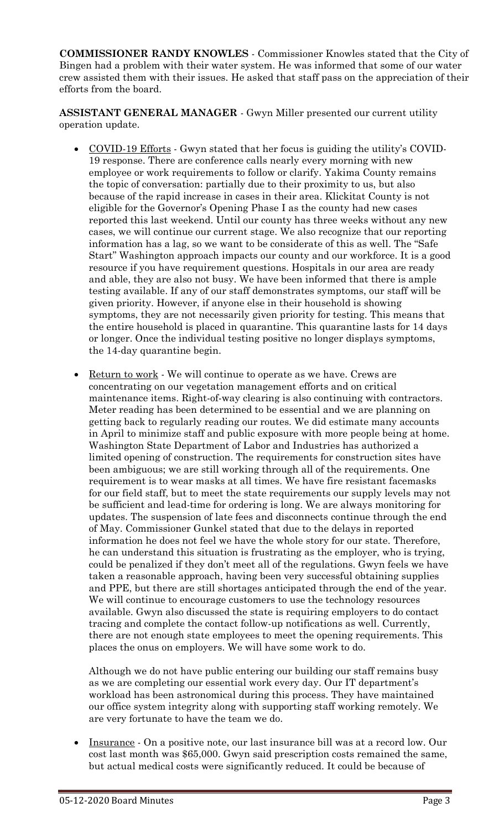**COMMISSIONER RANDY KNOWLES** - Commissioner Knowles stated that the City of Bingen had a problem with their water system. He was informed that some of our water crew assisted them with their issues. He asked that staff pass on the appreciation of their efforts from the board.

**ASSISTANT GENERAL MANAGER** - Gwyn Miller presented our current utility operation update.

- COVID-19 Efforts Gwyn stated that her focus is guiding the utility's COVID-19 response. There are conference calls nearly every morning with new employee or work requirements to follow or clarify. Yakima County remains the topic of conversation: partially due to their proximity to us, but also because of the rapid increase in cases in their area. Klickitat County is not eligible for the Governor's Opening Phase I as the county had new cases reported this last weekend. Until our county has three weeks without any new cases, we will continue our current stage. We also recognize that our reporting information has a lag, so we want to be considerate of this as well. The "Safe Start" Washington approach impacts our county and our workforce. It is a good resource if you have requirement questions. Hospitals in our area are ready and able, they are also not busy. We have been informed that there is ample testing available. If any of our staff demonstrates symptoms, our staff will be given priority. However, if anyone else in their household is showing symptoms, they are not necessarily given priority for testing. This means that the entire household is placed in quarantine. This quarantine lasts for 14 days or longer. Once the individual testing positive no longer displays symptoms, the 14-day quarantine begin.
- Return to work We will continue to operate as we have. Crews are concentrating on our vegetation management efforts and on critical maintenance items. Right-of-way clearing is also continuing with contractors. Meter reading has been determined to be essential and we are planning on getting back to regularly reading our routes. We did estimate many accounts in April to minimize staff and public exposure with more people being at home. Washington State Department of Labor and Industries has authorized a limited opening of construction. The requirements for construction sites have been ambiguous; we are still working through all of the requirements. One requirement is to wear masks at all times. We have fire resistant facemasks for our field staff, but to meet the state requirements our supply levels may not be sufficient and lead-time for ordering is long. We are always monitoring for updates. The suspension of late fees and disconnects continue through the end of May. Commissioner Gunkel stated that due to the delays in reported information he does not feel we have the whole story for our state. Therefore, he can understand this situation is frustrating as the employer, who is trying, could be penalized if they don't meet all of the regulations. Gwyn feels we have taken a reasonable approach, having been very successful obtaining supplies and PPE, but there are still shortages anticipated through the end of the year. We will continue to encourage customers to use the technology resources available. Gwyn also discussed the state is requiring employers to do contact tracing and complete the contact follow-up notifications as well. Currently, there are not enough state employees to meet the opening requirements. This places the onus on employers. We will have some work to do.

Although we do not have public entering our building our staff remains busy as we are completing our essential work every day. Our IT department's workload has been astronomical during this process. They have maintained our office system integrity along with supporting staff working remotely. We are very fortunate to have the team we do.

 Insurance - On a positive note, our last insurance bill was at a record low. Our cost last month was \$65,000. Gwyn said prescription costs remained the same, but actual medical costs were significantly reduced. It could be because of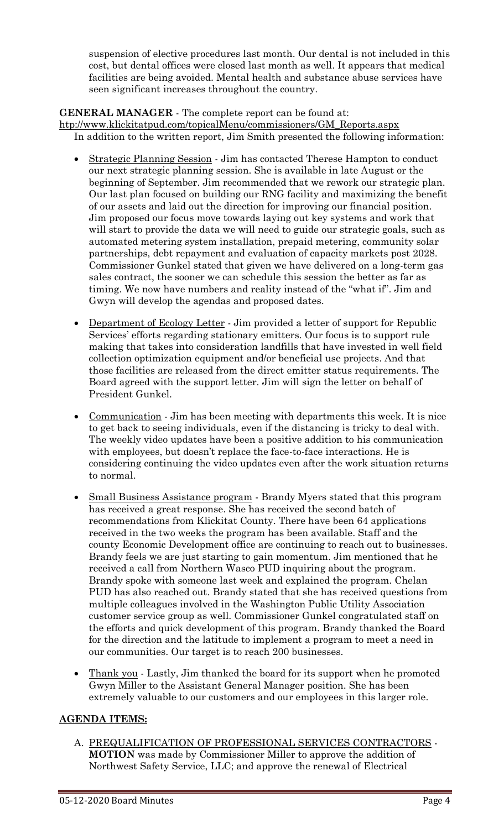suspension of elective procedures last month. Our dental is not included in this cost, but dental offices were closed last month as well. It appears that medical facilities are being avoided. Mental health and substance abuse services have seen significant increases throughout the country.

## **GENERAL MANAGER** - The complete report can be found at:

[htp://www.klickitatpud.com/topicalMenu/commissioners/GM\\_Reports.aspx](http://www.klickitatpud.com/topicalMenu/commissioners/GM_Reports.aspx) In addition to the written report, Jim Smith presented the following information:

- Strategic Planning Session Jim has contacted Therese Hampton to conduct our next strategic planning session. She is available in late August or the beginning of September. Jim recommended that we rework our strategic plan. Our last plan focused on building our RNG facility and maximizing the benefit of our assets and laid out the direction for improving our financial position. Jim proposed our focus move towards laying out key systems and work that will start to provide the data we will need to guide our strategic goals, such as automated metering system installation, prepaid metering, community solar partnerships, debt repayment and evaluation of capacity markets post 2028. Commissioner Gunkel stated that given we have delivered on a long-term gas sales contract, the sooner we can schedule this session the better as far as timing. We now have numbers and reality instead of the "what if". Jim and Gwyn will develop the agendas and proposed dates.
- Department of Ecology Letter Jim provided a letter of support for Republic Services' efforts regarding stationary emitters. Our focus is to support rule making that takes into consideration landfills that have invested in well field collection optimization equipment and/or beneficial use projects. And that those facilities are released from the direct emitter status requirements. The Board agreed with the support letter. Jim will sign the letter on behalf of President Gunkel.
- Communication Jim has been meeting with departments this week. It is nice to get back to seeing individuals, even if the distancing is tricky to deal with. The weekly video updates have been a positive addition to his communication with employees, but doesn't replace the face-to-face interactions. He is considering continuing the video updates even after the work situation returns to normal.
- Small Business Assistance program Brandy Myers stated that this program has received a great response. She has received the second batch of recommendations from Klickitat County. There have been 64 applications received in the two weeks the program has been available. Staff and the county Economic Development office are continuing to reach out to businesses. Brandy feels we are just starting to gain momentum. Jim mentioned that he received a call from Northern Wasco PUD inquiring about the program. Brandy spoke with someone last week and explained the program. Chelan PUD has also reached out. Brandy stated that she has received questions from multiple colleagues involved in the Washington Public Utility Association customer service group as well. Commissioner Gunkel congratulated staff on the efforts and quick development of this program. Brandy thanked the Board for the direction and the latitude to implement a program to meet a need in our communities. Our target is to reach 200 businesses.
- Thank you Lastly, Jim thanked the board for its support when he promoted Gwyn Miller to the Assistant General Manager position. She has been extremely valuable to our customers and our employees in this larger role.

## **AGENDA ITEMS:**

A. PREQUALIFICATION OF PROFESSIONAL SERVICES CONTRACTORS - **MOTION** was made by Commissioner Miller to approve the addition of Northwest Safety Service, LLC; and approve the renewal of Electrical